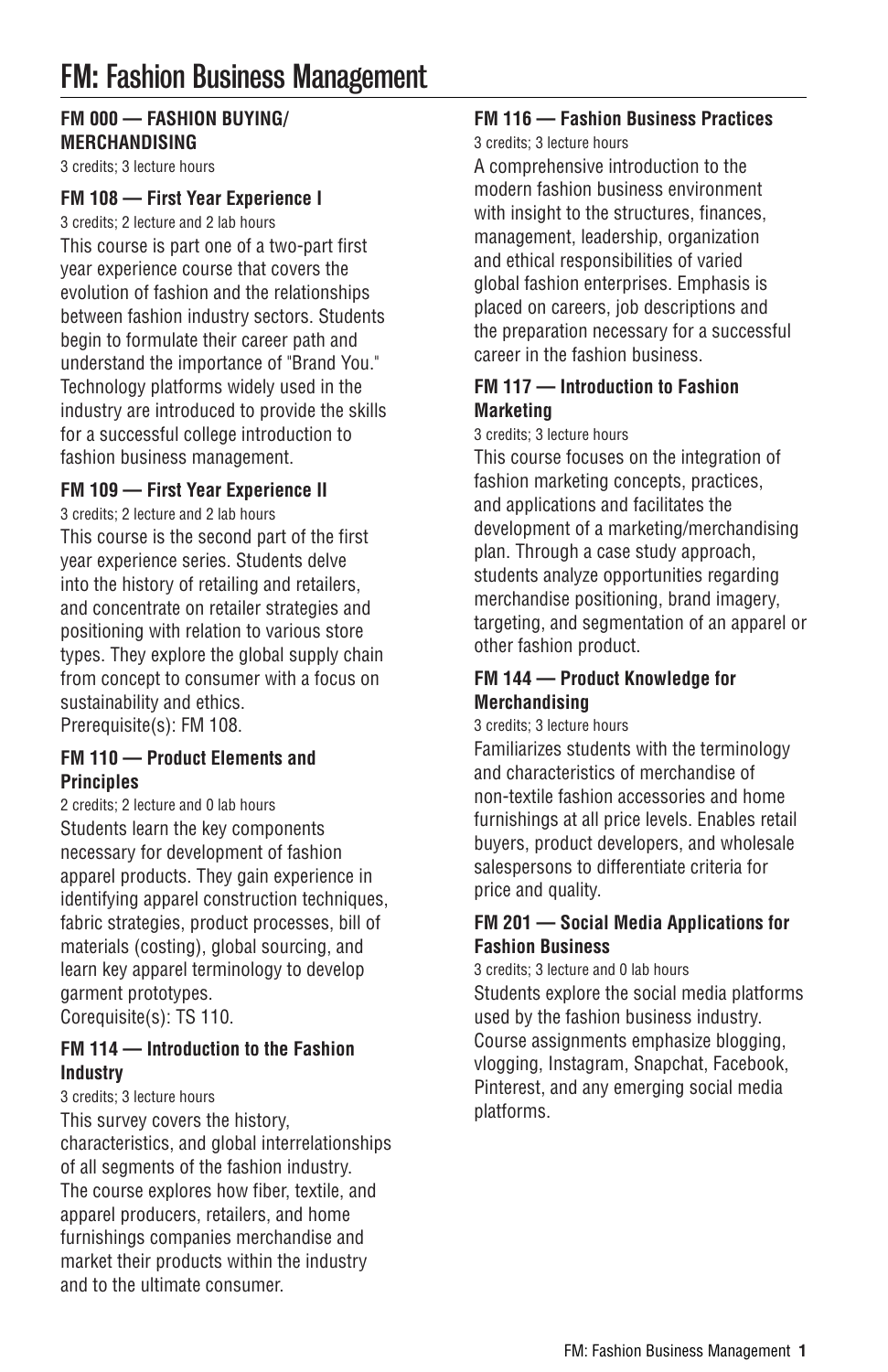# FM: Fashion Business Management

### **FM 000 — FASHION BUYING/ MERCHANDISING**

3 credits; 3 lecture hours

#### **FM 108 — First Year Experience I**

3 credits; 2 lecture and 2 lab hours This course is part one of a two-part first year experience course that covers the evolution of fashion and the relationships between fashion industry sectors. Students begin to formulate their career path and understand the importance of "Brand You." Technology platforms widely used in the industry are introduced to provide the skills for a successful college introduction to fashion business management.

#### **FM 109 — First Year Experience II**

3 credits; 2 lecture and 2 lab hours This course is the second part of the first year experience series. Students delve into the history of retailing and retailers, and concentrate on retailer strategies and positioning with relation to various store types. They explore the global supply chain from concept to consumer with a focus on sustainability and ethics. Prerequisite(s): FM 108.

#### **FM 110 — Product Elements and Principles**

2 credits; 2 lecture and 0 lab hours Students learn the key components necessary for development of fashion apparel products. They gain experience in identifying apparel construction techniques. fabric strategies, product processes, bill of materials (costing), global sourcing, and learn key apparel terminology to develop garment prototypes. Corequisite(s): TS 110.

### **FM 114 — Introduction to the Fashion Industry**

#### 3 credits; 3 lecture hours

This survey covers the history, characteristics, and global interrelationships of all segments of the fashion industry. The course explores how fiber, textile, and apparel producers, retailers, and home furnishings companies merchandise and market their products within the industry and to the ultimate consumer.

# **FM 116 — Fashion Business Practices**

3 credits; 3 lecture hours

A comprehensive introduction to the modern fashion business environment with insight to the structures, finances, management, leadership, organization and ethical responsibilities of varied global fashion enterprises. Emphasis is placed on careers, job descriptions and the preparation necessary for a successful career in the fashion business.

### **FM 117 — Introduction to Fashion Marketing**

#### 3 credits; 3 lecture hours

This course focuses on the integration of fashion marketing concepts, practices, and applications and facilitates the development of a marketing/merchandising plan. Through a case study approach, students analyze opportunities regarding merchandise positioning, brand imagery, targeting, and segmentation of an apparel or other fashion product.

#### **FM 144 — Product Knowledge for Merchandising**

3 credits; 3 lecture hours

Familiarizes students with the terminology and characteristics of merchandise of non-textile fashion accessories and home furnishings at all price levels. Enables retail buyers, product developers, and wholesale salespersons to differentiate criteria for price and quality.

#### **FM 201 — Social Media Applications for Fashion Business**

3 credits; 3 lecture and 0 lab hours Students explore the social media platforms used by the fashion business industry. Course assignments emphasize blogging, vlogging, Instagram, Snapchat, Facebook, Pinterest, and any emerging social media platforms.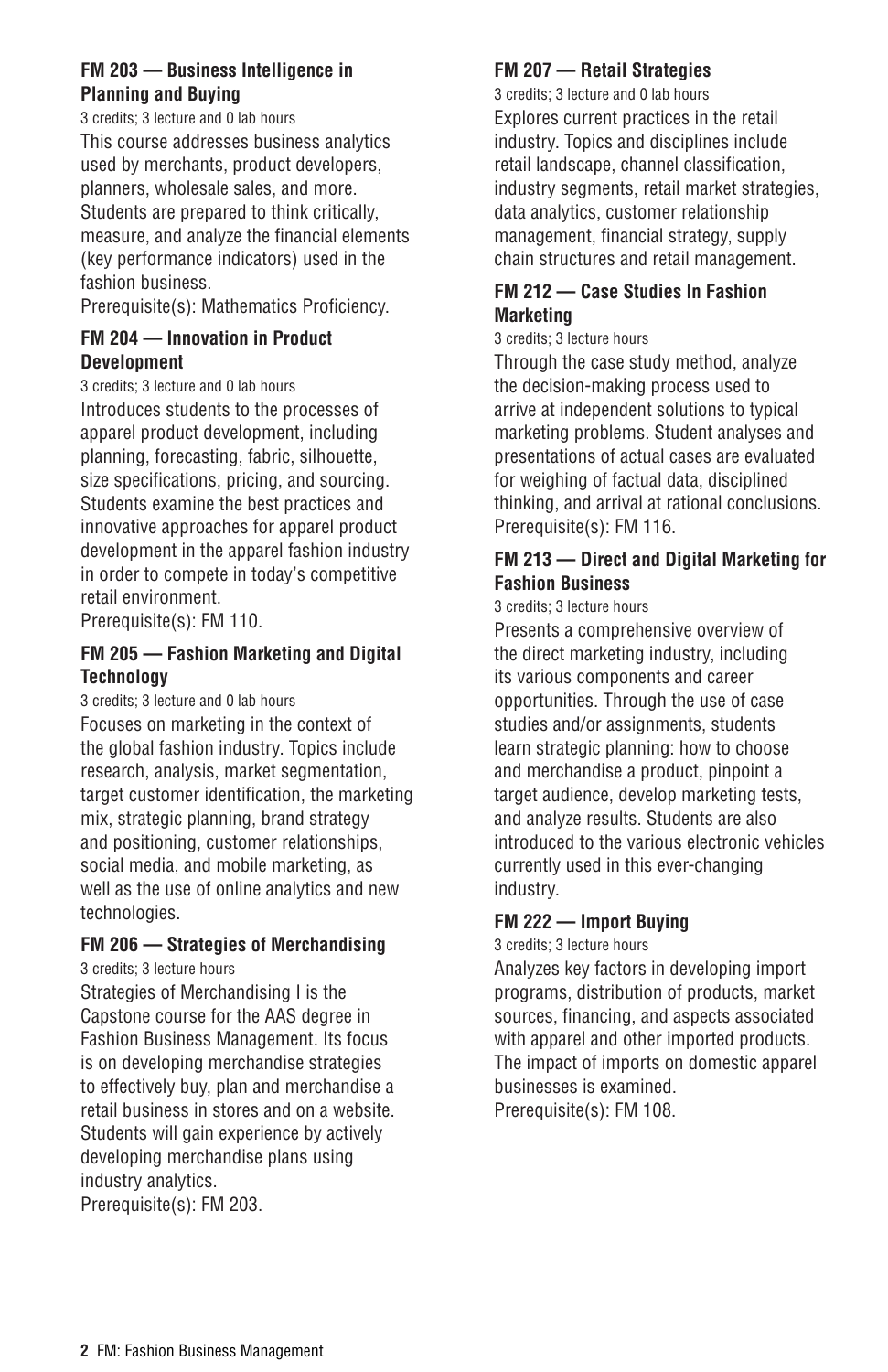#### **FM 203 — Business Intelligence in Planning and Buying**

3 credits; 3 lecture and 0 lab hours This course addresses business analytics used by merchants, product developers, planners, wholesale sales, and more. Students are prepared to think critically, measure, and analyze the financial elements (key performance indicators) used in the fashion business.

Prerequisite(s): Mathematics Proficiency.

# **FM 204 — Innovation in Product Development**

3 credits; 3 lecture and 0 lab hours

Introduces students to the processes of apparel product development, including planning, forecasting, fabric, silhouette, size specifications, pricing, and sourcing. Students examine the best practices and innovative approaches for apparel product development in the apparel fashion industry in order to compete in today's competitive retail environment.

Prerequisite(s): FM 110.

# **FM 205 — Fashion Marketing and Digital Technology**

3 credits; 3 lecture and 0 lab hours Focuses on marketing in the context of the global fashion industry. Topics include research, analysis, market segmentation, target customer identification, the marketing mix, strategic planning, brand strategy and positioning, customer relationships, social media, and mobile marketing, as well as the use of online analytics and new technologies.

# **FM 206 — Strategies of Merchandising**

3 credits; 3 lecture hours

Strategies of Merchandising I is the Capstone course for the AAS degree in Fashion Business Management. Its focus is on developing merchandise strategies to effectively buy, plan and merchandise a retail business in stores and on a website. Students will gain experience by actively developing merchandise plans using industry analytics. Prerequisite(s): FM 203.

### **FM 207 — Retail Strategies**

3 credits; 3 lecture and 0 lab hours Explores current practices in the retail industry. Topics and disciplines include retail landscape, channel classification, industry segments, retail market strategies, data analytics, customer relationship management, financial strategy, supply chain structures and retail management.

# **FM 212 — Case Studies In Fashion Marketing**

#### 3 credits; 3 lecture hours

Through the case study method, analyze the decision-making process used to arrive at independent solutions to typical marketing problems. Student analyses and presentations of actual cases are evaluated for weighing of factual data, disciplined thinking, and arrival at rational conclusions. Prerequisite(s): FM 116.

### **FM 213 — Direct and Digital Marketing for Fashion Business**

3 credits; 3 lecture hours

Presents a comprehensive overview of the direct marketing industry, including its various components and career opportunities. Through the use of case studies and/or assignments, students learn strategic planning: how to choose and merchandise a product, pinpoint a target audience, develop marketing tests, and analyze results. Students are also introduced to the various electronic vehicles currently used in this ever-changing industry.

### **FM 222 — Import Buying**

3 credits; 3 lecture hours

Analyzes key factors in developing import programs, distribution of products, market sources, financing, and aspects associated with apparel and other imported products. The impact of imports on domestic apparel businesses is examined. Prerequisite(s): FM 108.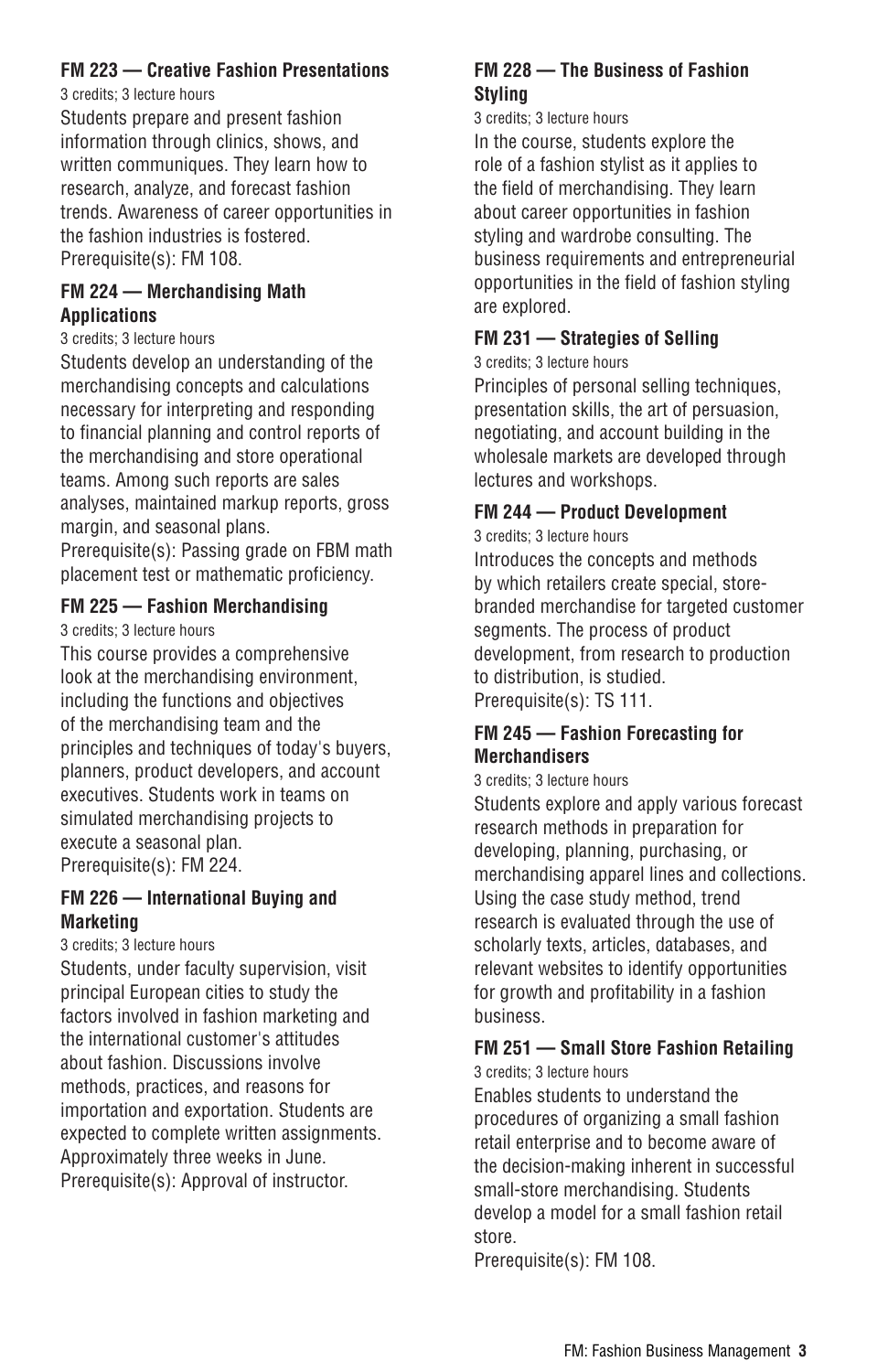# **FM 223 — Creative Fashion Presentations**

3 credits; 3 lecture hours

Students prepare and present fashion information through clinics, shows, and written communiques. They learn how to research, analyze, and forecast fashion trends. Awareness of career opportunities in the fashion industries is fostered. Prerequisite(s): FM 108.

#### **FM 224 — Merchandising Math Applications**

#### 3 credits; 3 lecture hours

Students develop an understanding of the merchandising concepts and calculations necessary for interpreting and responding to financial planning and control reports of the merchandising and store operational teams. Among such reports are sales analyses, maintained markup reports, gross margin, and seasonal plans.

Prerequisite(s): Passing grade on FBM math placement test or mathematic proficiency.

### **FM 225 — Fashion Merchandising**

3 credits; 3 lecture hours

This course provides a comprehensive look at the merchandising environment, including the functions and objectives of the merchandising team and the principles and techniques of today's buyers, planners, product developers, and account executives. Students work in teams on simulated merchandising projects to execute a seasonal plan. Prerequisite(s): FM 224.

### **FM 226 — International Buying and Marketing**

3 credits; 3 lecture hours

Students, under faculty supervision, visit principal European cities to study the factors involved in fashion marketing and the international customer's attitudes about fashion. Discussions involve methods, practices, and reasons for importation and exportation. Students are expected to complete written assignments. Approximately three weeks in June. Prerequisite(s): Approval of instructor.

# **FM 228 — The Business of Fashion Styling**

#### 3 credits; 3 lecture hours

In the course, students explore the role of a fashion stylist as it applies to the field of merchandising. They learn about career opportunities in fashion styling and wardrobe consulting. The business requirements and entrepreneurial opportunities in the field of fashion styling are explored.

# **FM 231 — Strategies of Selling**

3 credits; 3 lecture hours

Principles of personal selling techniques, presentation skills, the art of persuasion, negotiating, and account building in the wholesale markets are developed through lectures and workshops.

#### **FM 244 — Product Development**

3 credits; 3 lecture hours

Introduces the concepts and methods by which retailers create special, storebranded merchandise for targeted customer segments. The process of product development, from research to production to distribution, is studied. Prerequisite(s): TS 111.

### **FM 245 — Fashion Forecasting for Merchandisers**

#### 3 credits; 3 lecture hours

Students explore and apply various forecast research methods in preparation for developing, planning, purchasing, or merchandising apparel lines and collections. Using the case study method, trend research is evaluated through the use of scholarly texts, articles, databases, and relevant websites to identify opportunities for growth and profitability in a fashion business.

# **FM 251 — Small Store Fashion Retailing**

3 credits; 3 lecture hours

Enables students to understand the procedures of organizing a small fashion retail enterprise and to become aware of the decision-making inherent in successful small-store merchandising. Students develop a model for a small fashion retail store.

Prerequisite(s): FM 108.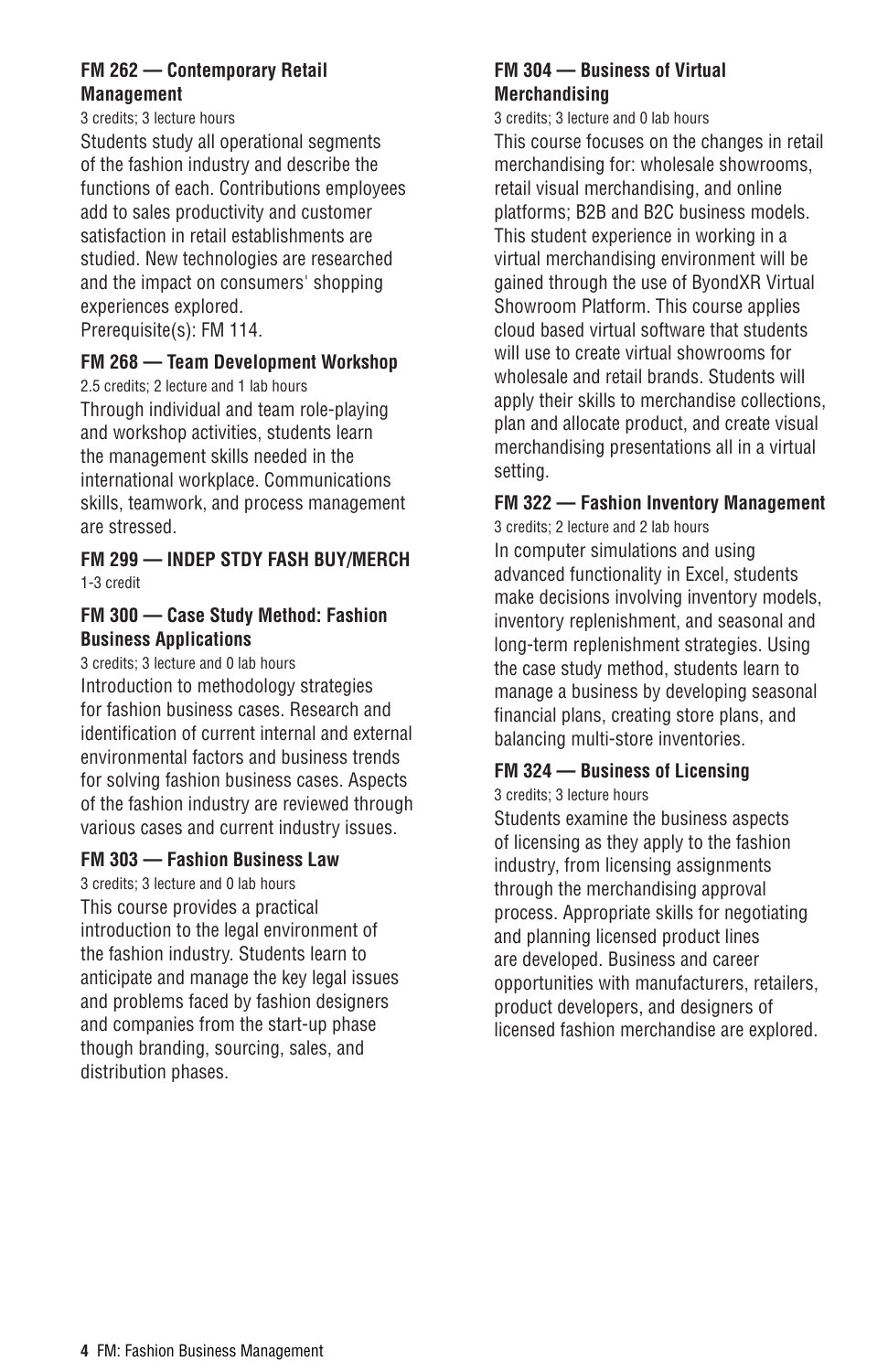# **FM 262 — Contemporary Retail Management**

3 credits; 3 lecture hours

Students study all operational segments of the fashion industry and describe the functions of each. Contributions employees add to sales productivity and customer satisfaction in retail establishments are studied. New technologies are researched and the impact on consumers' shopping experiences explored.

Prerequisite(s): FM 114.

#### **FM 268 — Team Development Workshop**

2.5 credits; 2 lecture and 1 lab hours

Through individual and team role-playing and workshop activities, students learn the management skills needed in the international workplace. Communications skills, teamwork, and process management are stressed.

**FM 299 — INDEP STDY FASH BUY/MERCH** 1-3 credit

#### **FM 300 — Case Study Method: Fashion Business Applications**

3 credits; 3 lecture and 0 lab hours Introduction to methodology strategies for fashion business cases. Research and identification of current internal and external environmental factors and business trends for solving fashion business cases. Aspects of the fashion industry are reviewed through various cases and current industry issues.

### **FM 303 — Fashion Business Law**

3 credits; 3 lecture and 0 lab hours This course provides a practical introduction to the legal environment of the fashion industry. Students learn to anticipate and manage the key legal issues and problems faced by fashion designers and companies from the start-up phase though branding, sourcing, sales, and distribution phases.

## **FM 304 — Business of Virtual Merchandising**

3 credits; 3 lecture and 0 lab hours This course focuses on the changes in retail merchandising for: wholesale showrooms, retail visual merchandising, and online platforms; B2B and B2C business models. This student experience in working in a virtual merchandising environment will be gained through the use of ByondXR Virtual Showroom Platform. This course applies cloud based virtual software that students will use to create virtual showrooms for wholesale and retail brands. Students will apply their skills to merchandise collections, plan and allocate product, and create visual merchandising presentations all in a virtual setting.

### **FM 322 — Fashion Inventory Management**

3 credits; 2 lecture and 2 lab hours In computer simulations and using advanced functionality in Excel, students make decisions involving inventory models, inventory replenishment, and seasonal and long-term replenishment strategies. Using the case study method, students learn to manage a business by developing seasonal financial plans, creating store plans, and balancing multi-store inventories.

#### **FM 324 — Business of Licensing** 3 credits; 3 lecture hours

Students examine the business aspects of licensing as they apply to the fashion industry, from licensing assignments through the merchandising approval process. Appropriate skills for negotiating and planning licensed product lines are developed. Business and career opportunities with manufacturers, retailers, product developers, and designers of licensed fashion merchandise are explored.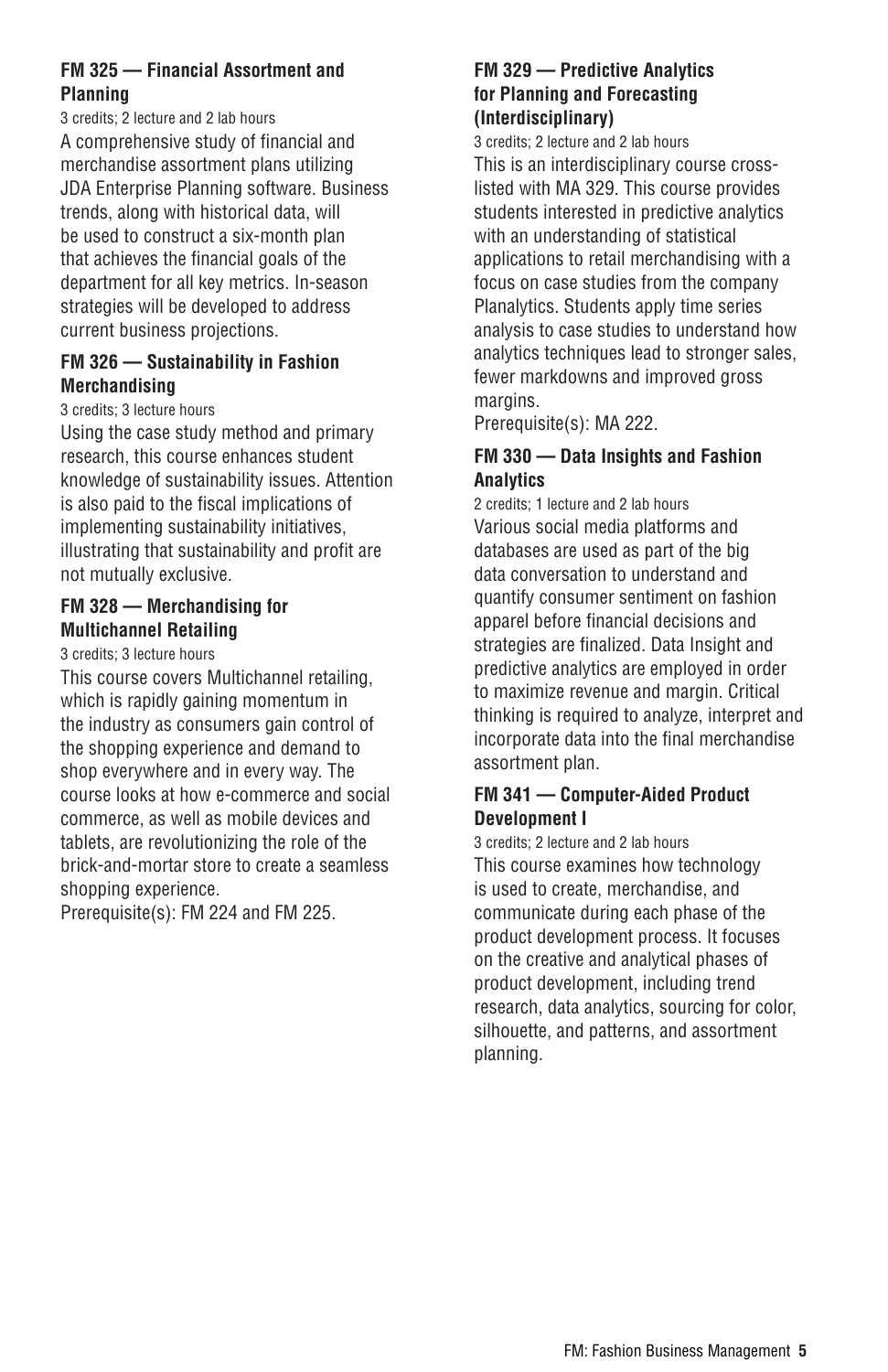# **FM 325 — Financial Assortment and Planning**

3 credits; 2 lecture and 2 lab hours A comprehensive study of financial and merchandise assortment plans utilizing JDA Enterprise Planning software. Business trends, along with historical data, will be used to construct a six-month plan that achieves the financial goals of the department for all key metrics. In-season strategies will be developed to address current business projections.

# **FM 326 — Sustainability in Fashion Merchandising**

#### 3 credits; 3 lecture hours

Using the case study method and primary research, this course enhances student knowledge of sustainability issues. Attention is also paid to the fiscal implications of implementing sustainability initiatives, illustrating that sustainability and profit are not mutually exclusive.

#### **FM 328 — Merchandising for Multichannel Retailing**

#### 3 credits; 3 lecture hours

This course covers Multichannel retailing, which is rapidly gaining momentum in the industry as consumers gain control of the shopping experience and demand to shop everywhere and in every way. The course looks at how e-commerce and social commerce, as well as mobile devices and tablets, are revolutionizing the role of the brick-and-mortar store to create a seamless shopping experience.

Prerequisite(s): FM 224 and FM 225.

# **FM 329 — Predictive Analytics for Planning and Forecasting (Interdisciplinary)**

3 credits; 2 lecture and 2 lab hours This is an interdisciplinary course crosslisted with MA 329. This course provides students interested in predictive analytics with an understanding of statistical applications to retail merchandising with a focus on case studies from the company Planalytics. Students apply time series analysis to case studies to understand how analytics techniques lead to stronger sales, fewer markdowns and improved gross margins.

Prerequisite(s): MA 222.

#### **FM 330 — Data Insights and Fashion Analytics**

2 credits; 1 lecture and 2 lab hours Various social media platforms and databases are used as part of the big data conversation to understand and quantify consumer sentiment on fashion apparel before financial decisions and strategies are finalized. Data Insight and predictive analytics are employed in order to maximize revenue and margin. Critical thinking is required to analyze, interpret and incorporate data into the final merchandise assortment plan.

#### **FM 341 — Computer-Aided Product Development I**

3 credits; 2 lecture and 2 lab hours This course examines how technology is used to create, merchandise, and communicate during each phase of the product development process. It focuses on the creative and analytical phases of product development, including trend research, data analytics, sourcing for color, silhouette, and patterns, and assortment planning.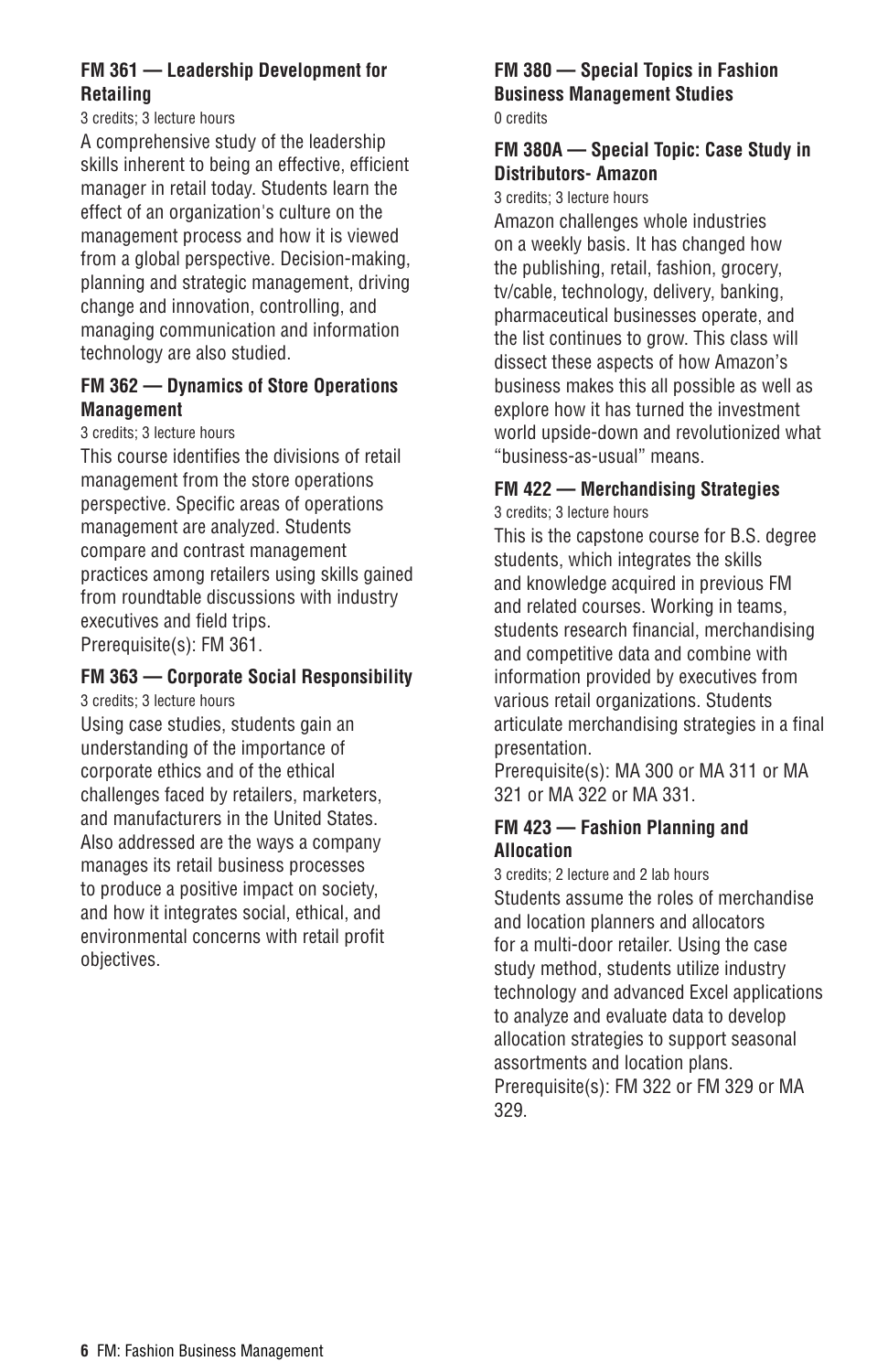# **FM 361 — Leadership Development for Retailing**

3 credits; 3 lecture hours

A comprehensive study of the leadership skills inherent to being an effective, efficient manager in retail today. Students learn the effect of an organization's culture on the management process and how it is viewed from a global perspective. Decision-making, planning and strategic management, driving change and innovation, controlling, and managing communication and information technology are also studied.

#### **FM 362 — Dynamics of Store Operations Management**

#### 3 credits; 3 lecture hours

This course identifies the divisions of retail management from the store operations perspective. Specific areas of operations management are analyzed. Students compare and contrast management practices among retailers using skills gained from roundtable discussions with industry executives and field trips. Prerequisite(s): FM 361.

# **FM 363 — Corporate Social Responsibility**

3 credits; 3 lecture hours

Using case studies, students gain an understanding of the importance of corporate ethics and of the ethical challenges faced by retailers, marketers, and manufacturers in the United States. Also addressed are the ways a company manages its retail business processes to produce a positive impact on society, and how it integrates social, ethical, and environmental concerns with retail profit objectives.

#### **FM 380 — Special Topics in Fashion Business Management Studies** 0 credits

#### **FM 380A — Special Topic: Case Study in Distributors- Amazon**

3 credits; 3 lecture hours

Amazon challenges whole industries on a weekly basis. It has changed how the publishing, retail, fashion, grocery, tv/cable, technology, delivery, banking, pharmaceutical businesses operate, and the list continues to grow. This class will dissect these aspects of how Amazon's business makes this all possible as well as explore how it has turned the investment world upside-down and revolutionized what "business-as-usual" means.

### **FM 422 — Merchandising Strategies**

3 credits; 3 lecture hours

This is the capstone course for B.S. degree students, which integrates the skills and knowledge acquired in previous FM and related courses. Working in teams, students research financial, merchandising and competitive data and combine with information provided by executives from various retail organizations. Students articulate merchandising strategies in a final presentation.

Prerequisite(s): MA 300 or MA 311 or MA 321 or MA 322 or MA 331.

#### **FM 423 — Fashion Planning and Allocation**

3 credits; 2 lecture and 2 lab hours Students assume the roles of merchandise and location planners and allocators for a multi-door retailer. Using the case study method, students utilize industry technology and advanced Excel applications to analyze and evaluate data to develop allocation strategies to support seasonal assortments and location plans. Prerequisite(s): FM 322 or FM 329 or MA 329.